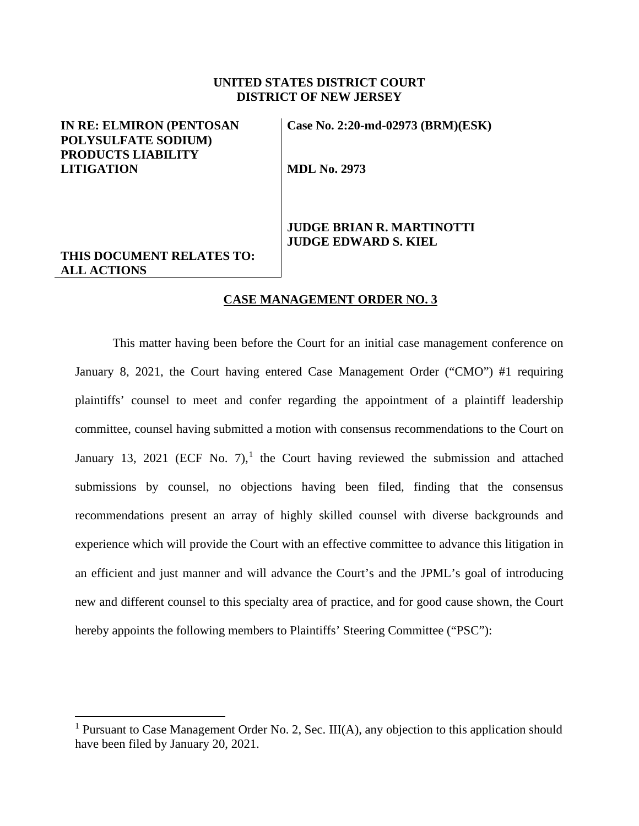### **UNITED STATES DISTRICT COURT DISTRICT OF NEW JERSEY**

## **IN RE: ELMIRON (PENTOSAN POLYSULFATE SODIUM) PRODUCTS LIABILITY LITIGATION**

**THIS DOCUMENT RELATES TO:**

**ALL ACTIONS**

**Case No. 2:20-md-02973 (BRM)(ESK)** 

**MDL No. 2973**

## **JUDGE BRIAN R. MARTINOTTI JUDGE EDWARD S. KIEL**

# **CASE MANAGEMENT ORDER NO. 3**

This matter having been before the Court for an initial case management conference on January 8, 2021, the Court having entered Case Management Order ("CMO") #1 requiring plaintiffs' counsel to meet and confer regarding the appointment of a plaintiff leadership committee, counsel having submitted a motion with consensus recommendations to the Court on January [1](#page-0-0)3, 2021 (ECF No. 7),<sup>1</sup> the Court having reviewed the submission and attached submissions by counsel, no objections having been filed, finding that the consensus recommendations present an array of highly skilled counsel with diverse backgrounds and experience which will provide the Court with an effective committee to advance this litigation in an efficient and just manner and will advance the Court's and the JPML's goal of introducing new and different counsel to this specialty area of practice, and for good cause shown, the Court hereby appoints the following members to Plaintiffs' Steering Committee ("PSC"):

<span id="page-0-0"></span><sup>&</sup>lt;sup>1</sup> Pursuant to Case Management Order No. 2, Sec. III(A), any objection to this application should have been filed by January 20, 2021.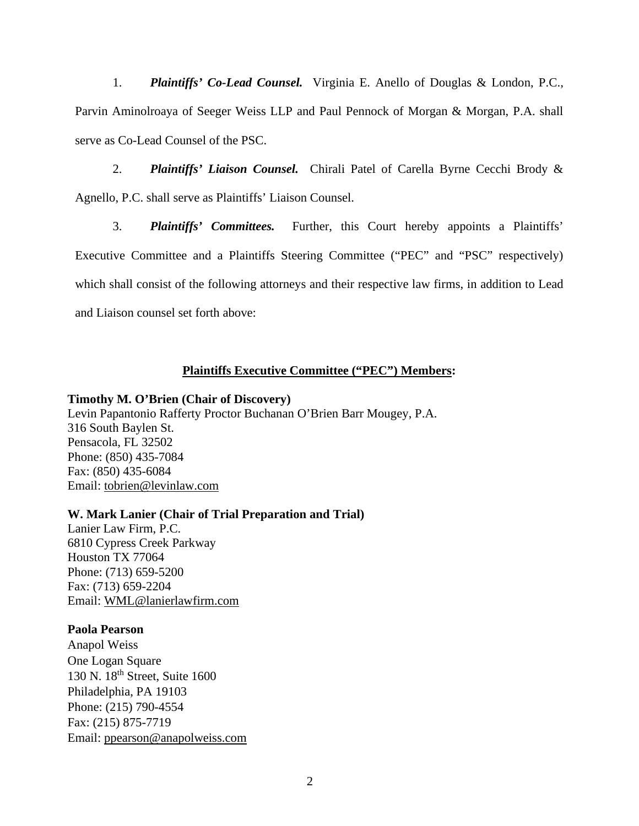1. *Plaintiffs' Co-Lead Counsel.* Virginia E. Anello of Douglas & London, P.C., Parvin Aminolroaya of Seeger Weiss LLP and Paul Pennock of Morgan & Morgan, P.A. shall serve as Co-Lead Counsel of the PSC.

2. *Plaintiffs' Liaison Counsel.* Chirali Patel of Carella Byrne Cecchi Brody & Agnello, P.C. shall serve as Plaintiffs' Liaison Counsel.

3. *Plaintiffs' Committees.* Further, this Court hereby appoints a Plaintiffs' Executive Committee and a Plaintiffs Steering Committee ("PEC" and "PSC" respectively) which shall consist of the following attorneys and their respective law firms, in addition to Lead and Liaison counsel set forth above:

## **Plaintiffs Executive Committee ("PEC") Members:**

#### **Timothy M. O'Brien (Chair of Discovery)**

Levin Papantonio Rafferty Proctor Buchanan O'Brien Barr Mougey, P.A. 316 South Baylen St. Pensacola, FL 32502 Phone: (850) 435-7084 Fax: (850) 435-6084 Email: [tobrien@levinlaw.com](mailto:tobrien@levinlaw.com)

## **W. Mark Lanier (Chair of Trial Preparation and Trial)**

Lanier Law Firm, P.C. 6810 Cypress Creek Parkway Houston TX 77064 Phone: (713) 659-5200 Fax: (713) 659-2204 Email: [WML@lanierlawfirm.com](mailto:WML@lanierlawfirm.com)

## **Paola Pearson**

Anapol Weiss One Logan Square 130 N. 18th Street, Suite 1600 Philadelphia, PA 19103 Phone: (215) 790-4554 Fax: (215) 875-7719 Email: [ppearson@anapolweiss.com](mailto:ppearson@anapolweiss.com)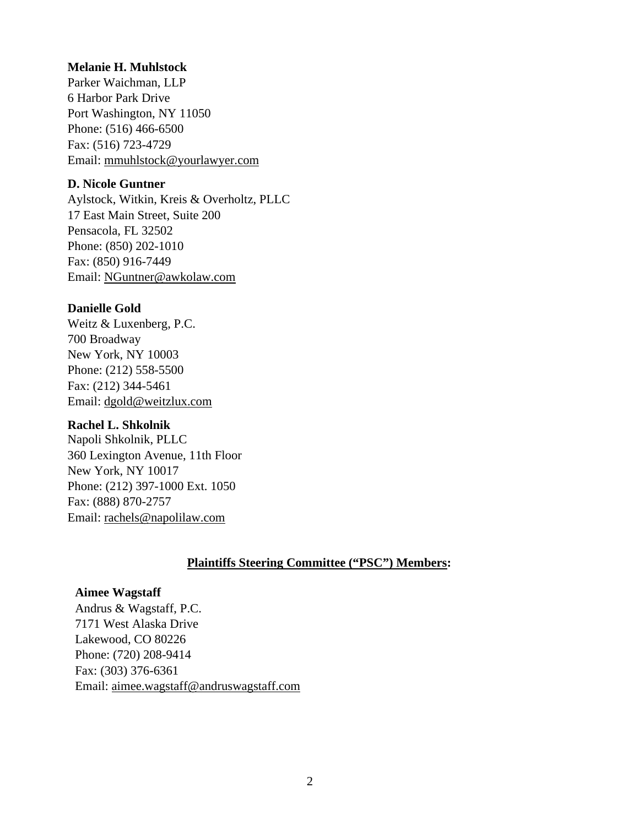## **Melanie H. Muhlstock**

Parker Waichman, LLP 6 Harbor Park Drive Port Washington, NY 11050 Phone: (516) 466-6500 Fax: (516) 723-4729 Email: mmuhlstock@yourlawyer.com

## **D. Nicole Guntner**

Aylstock, Witkin, Kreis & Overholtz, PLLC 17 East Main Street, Suite 200 Pensacola, FL 32502 Phone: [\(850\) 202-1010](tel:(850)%20202-1010) Fax: [\(850\) 916-7449](tel:(850)%20916-7449) Email: [NGuntner@awkolaw.com](mailto:NGuntner@awkolaw.com)

## **Danielle Gold**

Weitz & Luxenberg, P.C. 700 Broadway New York, NY 10003 Phone: (212) 558-5500 Fax: (212) 344-5461 Email: [dgold@weitzlux.com](mailto:dgold@weitzlux.com)

## **Rachel L. Shkolnik**

Napoli Shkolnik, PLLC 360 Lexington Avenue, 11th Floor New York, NY 10017 Phone: (212) 397-1000 Ext. 1050 Fax: (888) 870-2757 Email: [rachels@napolilaw.com](mailto:rachels@napolilaw.com)

# **Plaintiffs Steering Committee ("PSC") Members:**

# **Aimee Wagstaff**

Andrus & Wagstaff, P.C. 7171 West Alaska Drive Lakewood, CO 80226 Phone: (720) 208-9414 Fax: (303) 376-6361 Email: [aimee.wagstaff@andruswagstaff.com](mailto:aimee.wagstaff@andruswagstaff.com)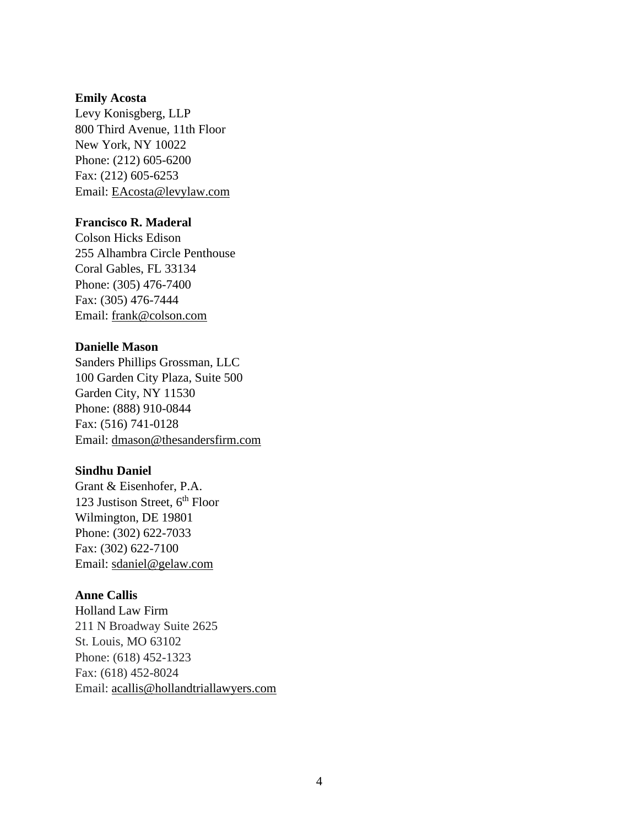#### **Emily Acosta**

Levy Konisgberg, LLP 800 Third Avenue, 11th Floor New York, NY 10022 Phone: (212) 605-6200 Fax: (212) 605-6253 Email: [EAcosta@levylaw.com](mailto:EAcosta@levylaw.com)

## **Francisco R. Maderal**

Colson Hicks Edison 255 Alhambra Circle Penthouse Coral Gables, FL 33134 Phone: (305) 476-7400 Fax: (305) 476-7444 Email: [frank@colson.com](mailto:frank@colson.com)

## **Danielle Mason**

Sanders Phillips Grossman, LLC 100 Garden City Plaza, Suite 500 Garden City, NY 11530 Phone: (888) 910-0844 Fax: (516) 741-0128 Email: [dmason@thesandersfirm.com](mailto:dmason@thesandersfirm.com)

## **Sindhu Daniel**

Grant & Eisenhofer, P.A. 123 Justison Street,  $6<sup>th</sup>$  Floor Wilmington, DE 19801 Phone: (302) 622-7033 Fax: (302) 622-7100 Email: [sdaniel@gelaw.com](mailto:sdaniel@gelaw.com)

#### **Anne Callis**

Holland Law Firm 211 N Broadway Suite 2625 St. Louis, MO 63102 Phone: (618) 452-1323 Fax: (618) 452-8024 Email: [acallis@hollandtriallawyers.com](mailto:acallis@hollandtriallawyers.com)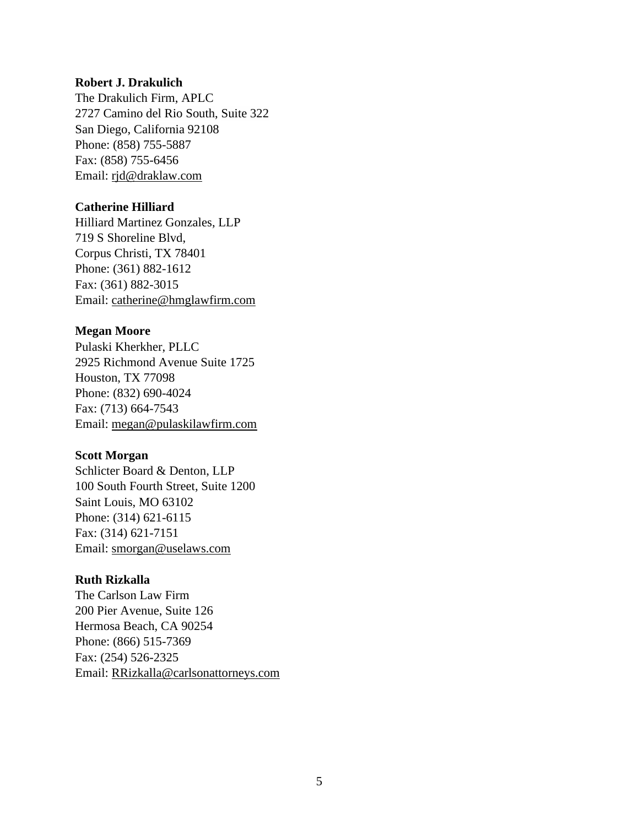#### **Robert J. Drakulich**

The Drakulich Firm, APLC 2727 Camino del Rio South, Suite 322 San Diego, California 92108 Phone: (858) 755-5887 Fax: (858) 755-6456 Email: [rjd@draklaw.com](mailto:rjd@draklaw.com)

## **Catherine Hilliard**

Hilliard Martinez Gonzales, LLP 719 S Shoreline Blvd, Corpus Christi, TX 78401 Phone: (361) 882-1612 Fax: (361) 882-3015 Email: [catherine@hmglawfirm.com](mailto:catherine@hmglawfirm.com)

#### **Megan Moore**

Pulaski Kherkher, PLLC 2925 Richmond Avenue Suite 1725 Houston, TX 77098 Phone: (832) 690-4024 Fax: (713) 664-7543 Email: [megan@pulaskilawfirm.com](mailto:megan@pulaskilawfirm.com)

#### **Scott Morgan**

Schlicter Board & Denton, LLP 100 South Fourth Street, Suite 1200 Saint Louis, MO 63102 Phone: (314) 621-6115 Fax: (314) 621-7151 Email: [smorgan@uselaws.com](mailto:smorgan@uselaws.com)

#### **Ruth Rizkalla**

The Carlson Law Firm 200 Pier Avenue, Suite 126 Hermosa Beach, CA 90254 Phone: (866) 515-7369 Fax: (254) 526-2325 Email: [RRizkalla@carlsonattorneys.com](mailto:RRizkalla@carlsonattorneys.com)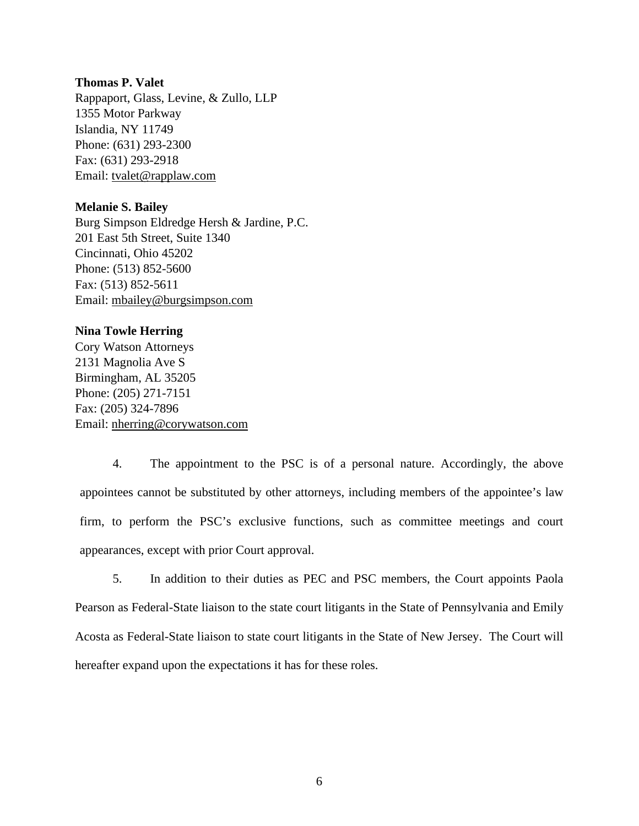#### **Thomas P. Valet**

Rappaport, Glass, Levine, & Zullo, LLP 1355 Motor Parkway Islandia, NY 11749 Phone: (631) 293-2300 Fax: (631) 293-2918 Email: [tvalet@rapplaw.com](mailto:tvalet@rapplaw.com)

#### **Melanie S. Bailey**

Burg Simpson Eldredge Hersh & Jardine, P.C. 201 East 5th Street, Suite 1340 Cincinnati, Ohio 45202 Phone: (513) 852-5600 Fax: (513) 852-5611 Email: [mbailey@burgsimpson.com](mailto:mbailey@burgsimpson.com)

#### **Nina Towle Herring**

Cory Watson Attorneys 2131 Magnolia Ave S Birmingham, AL 35205 Phone: (205) 271-7151 Fax: (205) 324-7896 Email: [nherring@corywatson.com](mailto:nherring@corywatson.com)

4. The appointment to the PSC is of a personal nature. Accordingly, the above appointees cannot be substituted by other attorneys, including members of the appointee's law firm, to perform the PSC's exclusive functions, such as committee meetings and court appearances, except with prior Court approval.

5. In addition to their duties as PEC and PSC members, the Court appoints Paola Pearson as Federal-State liaison to the state court litigants in the State of Pennsylvania and Emily Acosta as Federal-State liaison to state court litigants in the State of New Jersey. The Court will hereafter expand upon the expectations it has for these roles.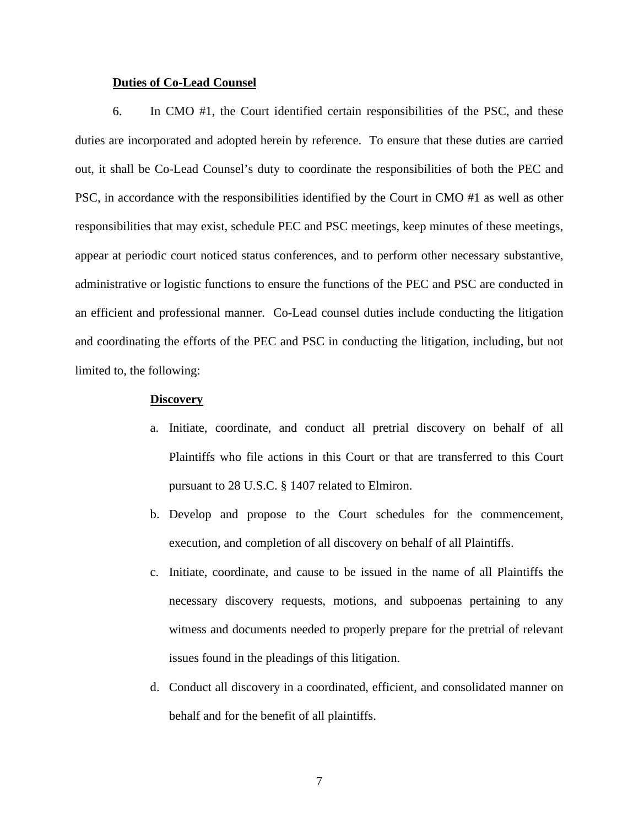#### **Duties of Co-Lead Counsel**

6. In CMO #1, the Court identified certain responsibilities of the PSC, and these duties are incorporated and adopted herein by reference. To ensure that these duties are carried out, it shall be Co-Lead Counsel's duty to coordinate the responsibilities of both the PEC and PSC, in accordance with the responsibilities identified by the Court in CMO #1 as well as other responsibilities that may exist, schedule PEC and PSC meetings, keep minutes of these meetings, appear at periodic court noticed status conferences, and to perform other necessary substantive, administrative or logistic functions to ensure the functions of the PEC and PSC are conducted in an efficient and professional manner. Co-Lead counsel duties include conducting the litigation and coordinating the efforts of the PEC and PSC in conducting the litigation, including, but not limited to, the following:

#### **Discovery**

- a. Initiate, coordinate, and conduct all pretrial discovery on behalf of all Plaintiffs who file actions in this Court or that are transferred to this Court pursuant to 28 U.S.C. § 1407 related to Elmiron.
- b. Develop and propose to the Court schedules for the commencement, execution, and completion of all discovery on behalf of all Plaintiffs.
- c. Initiate, coordinate, and cause to be issued in the name of all Plaintiffs the necessary discovery requests, motions, and subpoenas pertaining to any witness and documents needed to properly prepare for the pretrial of relevant issues found in the pleadings of this litigation.
- d. Conduct all discovery in a coordinated, efficient, and consolidated manner on behalf and for the benefit of all plaintiffs.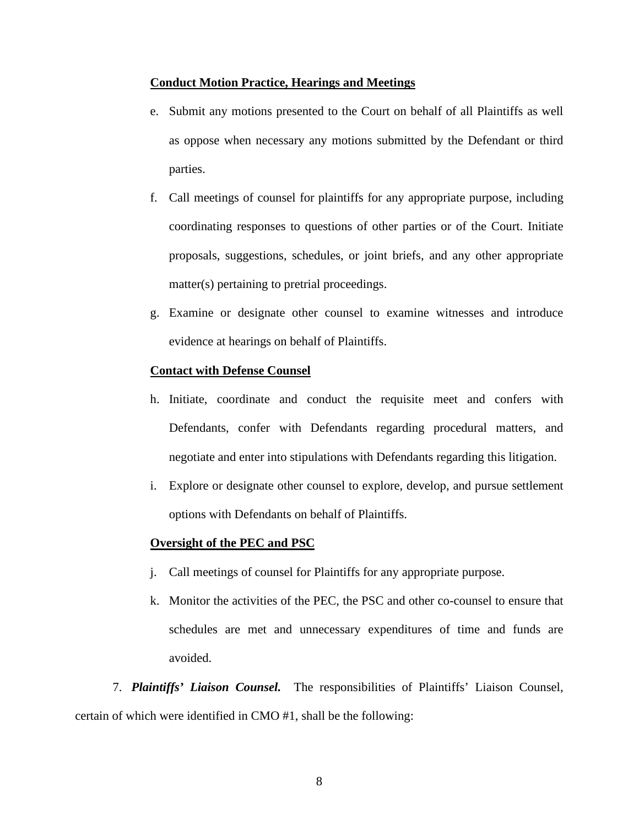#### **Conduct Motion Practice, Hearings and Meetings**

- e. Submit any motions presented to the Court on behalf of all Plaintiffs as well as oppose when necessary any motions submitted by the Defendant or third parties.
- f. Call meetings of counsel for plaintiffs for any appropriate purpose, including coordinating responses to questions of other parties or of the Court. Initiate proposals, suggestions, schedules, or joint briefs, and any other appropriate matter(s) pertaining to pretrial proceedings.
- g. Examine or designate other counsel to examine witnesses and introduce evidence at hearings on behalf of Plaintiffs.

#### **Contact with Defense Counsel**

- h. Initiate, coordinate and conduct the requisite meet and confers with Defendants, confer with Defendants regarding procedural matters, and negotiate and enter into stipulations with Defendants regarding this litigation.
- i. Explore or designate other counsel to explore, develop, and pursue settlement options with Defendants on behalf of Plaintiffs.

## **Oversight of the PEC and PSC**

- j. Call meetings of counsel for Plaintiffs for any appropriate purpose.
- k. Monitor the activities of the PEC, the PSC and other co-counsel to ensure that schedules are met and unnecessary expenditures of time and funds are avoided.

7. *Plaintiffs' Liaison Counsel.* The responsibilities of Plaintiffs' Liaison Counsel, certain of which were identified in CMO #1, shall be the following: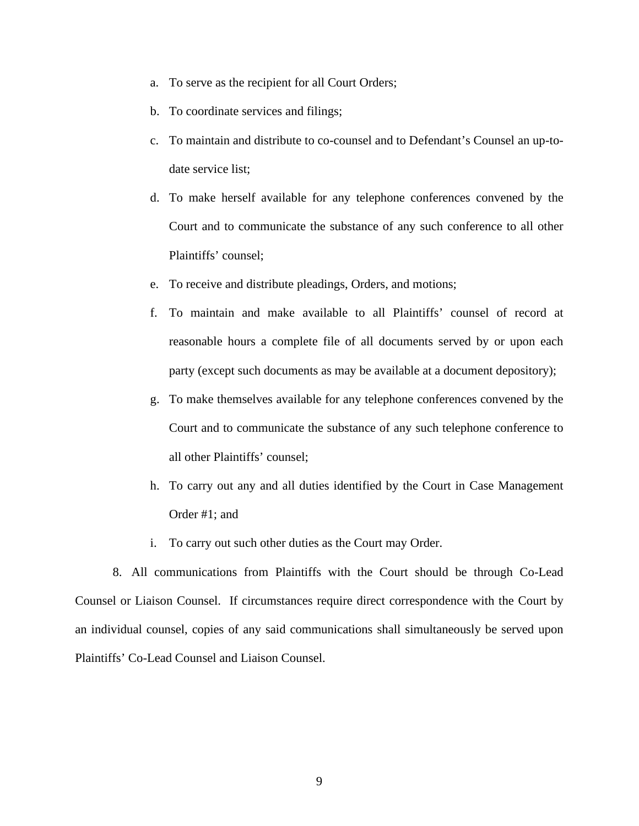- a. To serve as the recipient for all Court Orders;
- b. To coordinate services and filings;
- c. To maintain and distribute to co-counsel and to Defendant's Counsel an up-todate service list;
- d. To make herself available for any telephone conferences convened by the Court and to communicate the substance of any such conference to all other Plaintiffs' counsel;
- e. To receive and distribute pleadings, Orders, and motions;
- f. To maintain and make available to all Plaintiffs' counsel of record at reasonable hours a complete file of all documents served by or upon each party (except such documents as may be available at a document depository);
- g. To make themselves available for any telephone conferences convened by the Court and to communicate the substance of any such telephone conference to all other Plaintiffs' counsel;
- h. To carry out any and all duties identified by the Court in Case Management Order #1; and
- i. To carry out such other duties as the Court may Order.

8. All communications from Plaintiffs with the Court should be through Co-Lead Counsel or Liaison Counsel. If circumstances require direct correspondence with the Court by an individual counsel, copies of any said communications shall simultaneously be served upon Plaintiffs' Co-Lead Counsel and Liaison Counsel.